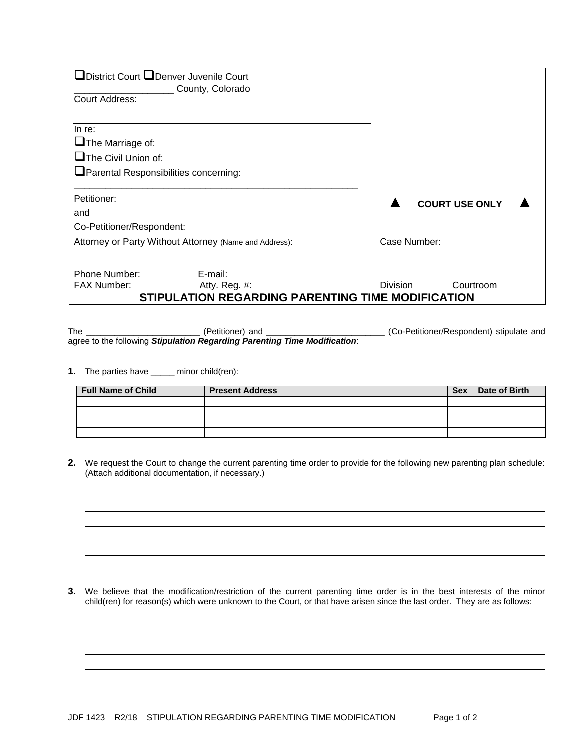| □District Court □Denver Juvenile Court<br>Court Address:                                                 | County, Colorado                                       |                 |              |                       |  |
|----------------------------------------------------------------------------------------------------------|--------------------------------------------------------|-----------------|--------------|-----------------------|--|
| In re:<br>$\Box$ The Marriage of:<br>$\Box$ The Civil Union of:<br>Parental Responsibilities concerning: |                                                        |                 |              |                       |  |
| Petitioner:<br>and                                                                                       |                                                        |                 |              | <b>COURT USE ONLY</b> |  |
| Co-Petitioner/Respondent:                                                                                |                                                        |                 |              |                       |  |
|                                                                                                          | Attorney or Party Without Attorney (Name and Address): |                 | Case Number: |                       |  |
| Phone Number:<br><b>FAX Number:</b>                                                                      | E-mail:<br>Atty. Reg. #:                               | <b>Division</b> |              | Courtroom             |  |
|                                                                                                          | STIPULATION REGARDING PARENTING TIME MODIFICATION      |                 |              |                       |  |

The \_\_\_\_\_\_\_\_\_\_\_\_\_\_\_\_\_\_\_\_\_\_\_\_ (Petitioner) and \_\_\_\_\_\_\_\_\_\_\_\_\_\_\_\_\_\_\_\_\_\_\_\_\_ (Co-Petitioner/Respondent) stipulate and agree to the following *Stipulation Regarding Parenting Time Modification*:

**1.** The parties have \_\_\_\_\_ minor child(ren):

| <b>Full Name of Child</b> | <b>Present Address</b> | <b>Sex</b> | Date of Birth |
|---------------------------|------------------------|------------|---------------|
|                           |                        |            |               |
|                           |                        |            |               |
|                           |                        |            |               |
|                           |                        |            |               |

**2.** We request the Court to change the current parenting time order to provide for the following new parenting plan schedule: (Attach additional documentation, if necessary.)

**3.** We believe that the modification/restriction of the current parenting time order is in the best interests of the minor child(ren) for reason(s) which were unknown to the Court, or that have arisen since the last order. They are as follows: